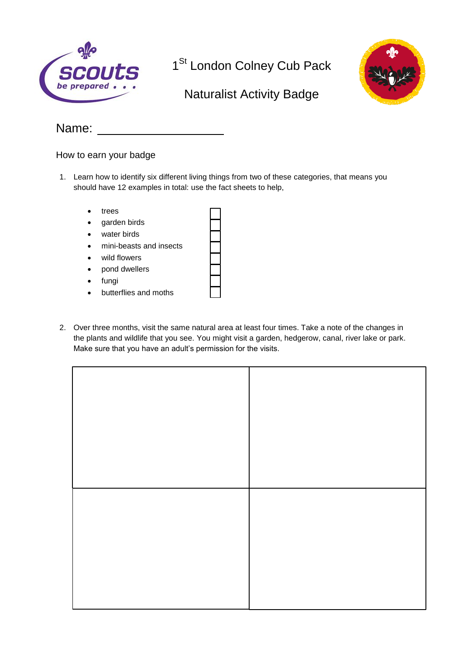

1<sup>St</sup> London Colney Cub Pack



## Naturalist Activity Badge

## Name:

How to earn your badge

- 1. Learn how to identify six different living things from two of these categories, that means you should have 12 examples in total: use the fact sheets to help,
	- trees
	- garden birds
	- water birds
	- mini-beasts and insects
	- wild flowers
	- pond dwellers
	- fungi
	- butterflies and moths
- 2. Over three months, visit the same natural area at least four times. Take a note of the changes in the plants and wildlife that you see. You might visit a garden, hedgerow, canal, river lake or park. Make sure that you have an adult's permission for the visits.